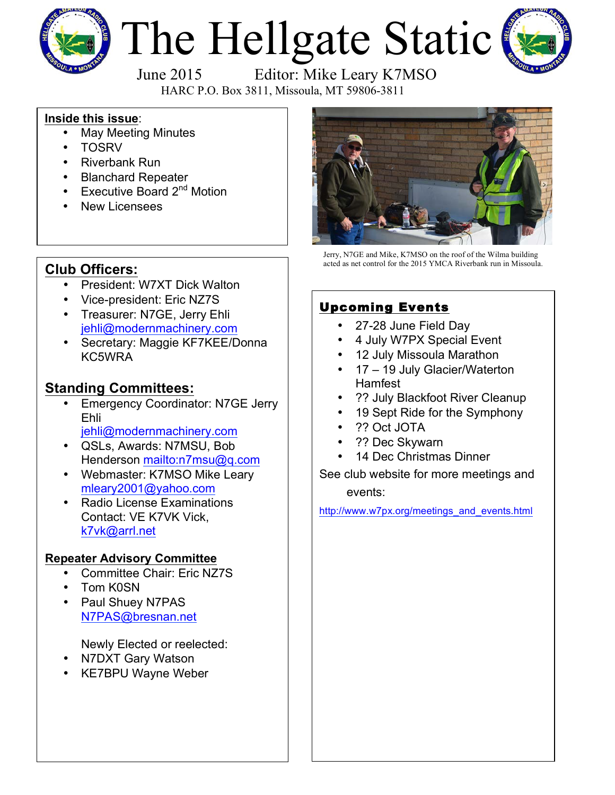

# The Hellgate Static



June 2015 Editor: Mike Leary K7MSO

HARC P.O. Box 3811, Missoula, MT 59806-3811

#### **Inside this issue**:

- May Meeting Minutes
- TOSRV
- Riverbank Run
- Blanchard Repeater
- Executive Board  $2^{nd}$  Motion
- **New Licensees**



Jerry, N7GE and Mike, K7MSO on the roof of the Wilma building acted as net control for the 2015 YMCA Riverbank run in Missoula.

# **Club Officers:**

- President: W7XT Dick Walton
- Vice-president: Eric NZ7S
- Treasurer: N7GE, Jerry Ehli jehli@modernmachinery.com
- Secretary: Maggie KF7KEE/Donna KC5WRA

### **Standing Committees:**

- Emergency Coordinator: N7GE Jerry Ehli
	- jehli@modernmachinery.com
- QSLs, Awards: N7MSU, Bob Henderson mailto:n7msu@q.com
- Webmaster: K7MSO Mike Leary mleary2001@yahoo.com
- Radio License Examinations Contact: VE K7VK Vick, k7vk@arrl.net

#### **Repeater Advisory Committee**

- Committee Chair: Eric NZ7S
- Tom K0SN
- Paul Shuey N7PAS N7PAS@bresnan.net

Newly Elected or reelected:

- N7DXT Gary Watson
- KE7BPU Wayne Weber

#### Upcoming Events

- 27-28 June Field Day
- 4 July W7PX Special Event
- 12 July Missoula Marathon
- 17 19 July Glacier/Waterton Hamfest
- ?? July Blackfoot River Cleanup
- 19 Sept Ride for the Symphony
- ?? Oct JOTA
- ?? Dec Skywarn
- 14 Dec Christmas Dinner
- See club website for more meetings and events:

http://www.w7px.org/meetings\_and\_events.html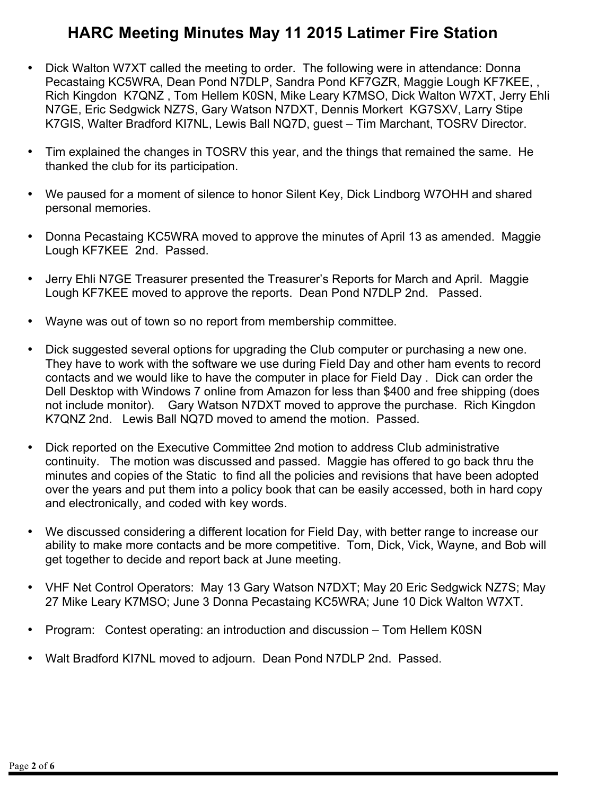## **HARC Meeting Minutes May 11 2015 Latimer Fire Station**

- Dick Walton W7XT called the meeting to order. The following were in attendance: Donna Pecastaing KC5WRA, Dean Pond N7DLP, Sandra Pond KF7GZR, Maggie Lough KF7KEE, , Rich Kingdon K7QNZ , Tom Hellem K0SN, Mike Leary K7MSO, Dick Walton W7XT, Jerry Ehli N7GE, Eric Sedgwick NZ7S, Gary Watson N7DXT, Dennis Morkert KG7SXV, Larry Stipe K7GIS, Walter Bradford KI7NL, Lewis Ball NQ7D, guest – Tim Marchant, TOSRV Director.
- Tim explained the changes in TOSRV this year, and the things that remained the same. He thanked the club for its participation.
- We paused for a moment of silence to honor Silent Key, Dick Lindborg W7OHH and shared personal memories.
- Donna Pecastaing KC5WRA moved to approve the minutes of April 13 as amended. Maggie Lough KF7KEE 2nd. Passed.
- Jerry Ehli N7GE Treasurer presented the Treasurer's Reports for March and April. Maggie Lough KF7KEE moved to approve the reports. Dean Pond N7DLP 2nd. Passed.
- Wayne was out of town so no report from membership committee.
- Dick suggested several options for upgrading the Club computer or purchasing a new one. They have to work with the software we use during Field Day and other ham events to record contacts and we would like to have the computer in place for Field Day . Dick can order the Dell Desktop with Windows 7 online from Amazon for less than \$400 and free shipping (does not include monitor). Gary Watson N7DXT moved to approve the purchase. Rich Kingdon K7QNZ 2nd. Lewis Ball NQ7D moved to amend the motion. Passed.
- Dick reported on the Executive Committee 2nd motion to address Club administrative continuity. The motion was discussed and passed. Maggie has offered to go back thru the minutes and copies of the Static to find all the policies and revisions that have been adopted over the years and put them into a policy book that can be easily accessed, both in hard copy and electronically, and coded with key words.
- We discussed considering a different location for Field Day, with better range to increase our ability to make more contacts and be more competitive. Tom, Dick, Vick, Wayne, and Bob will get together to decide and report back at June meeting.
- VHF Net Control Operators: May 13 Gary Watson N7DXT; May 20 Eric Sedgwick NZ7S; May 27 Mike Leary K7MSO; June 3 Donna Pecastaing KC5WRA; June 10 Dick Walton W7XT.
- Program: Contest operating: an introduction and discussion Tom Hellem K0SN
- Walt Bradford KI7NL moved to adjourn. Dean Pond N7DLP 2nd. Passed.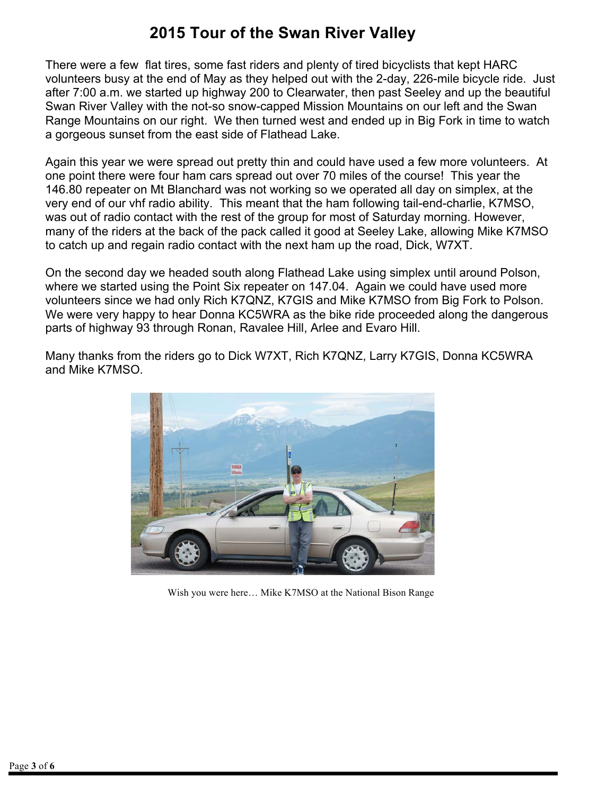## **2015 Tour of the Swan River Valley**

There were a few flat tires, some fast riders and plenty of tired bicyclists that kept HARC volunteers busy at the end of May as they helped out with the 2-day, 226-mile bicycle ride. Just after 7:00 a.m. we started up highway 200 to Clearwater, then past Seeley and up the beautiful Swan River Valley with the not-so snow-capped Mission Mountains on our left and the Swan Range Mountains on our right. We then turned west and ended up in Big Fork in time to watch a gorgeous sunset from the east side of Flathead Lake.

Again this year we were spread out pretty thin and could have used a few more volunteers. At one point there were four ham cars spread out over 70 miles of the course! This year the 146.80 repeater on Mt Blanchard was not working so we operated all day on simplex, at the very end of our vhf radio ability. This meant that the ham following tail-end-charlie, K7MSO, was out of radio contact with the rest of the group for most of Saturday morning. However, many of the riders at the back of the pack called it good at Seeley Lake, allowing Mike K7MSO to catch up and regain radio contact with the next ham up the road, Dick, W7XT.

On the second day we headed south along Flathead Lake using simplex until around Polson, where we started using the Point Six repeater on 147.04. Again we could have used more volunteers since we had only Rich K7QNZ, K7GIS and Mike K7MSO from Big Fork to Polson. We were very happy to hear Donna KC5WRA as the bike ride proceeded along the dangerous parts of highway 93 through Ronan, Ravalee Hill, Arlee and Evaro Hill.

Many thanks from the riders go to Dick W7XT, Rich K7QNZ, Larry K7GIS, Donna KC5WRA and Mike K7MSO.



Wish you were here… Mike K7MSO at the National Bison Range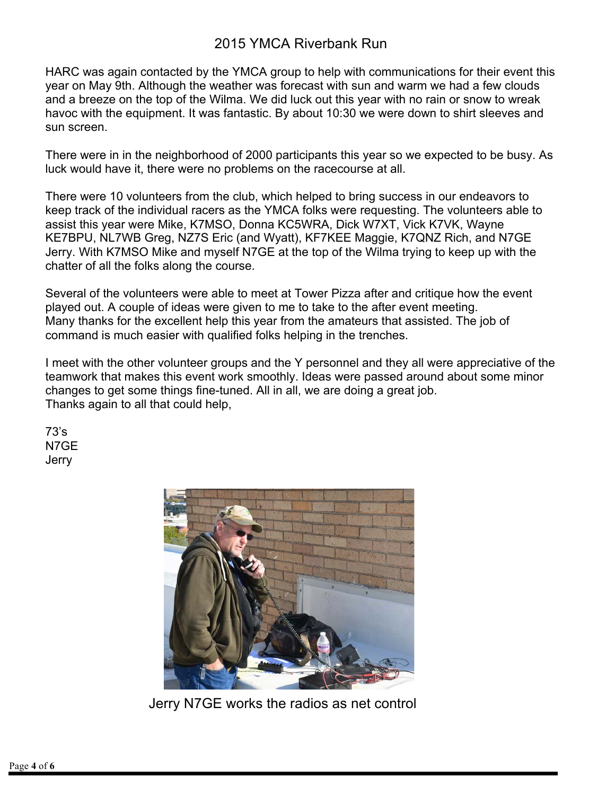#### 2015 YMCA Riverbank Run

HARC was again contacted by the YMCA group to help with communications for their event this year on May 9th. Although the weather was forecast with sun and warm we had a few clouds and a breeze on the top of the Wilma. We did luck out this year with no rain or snow to wreak havoc with the equipment. It was fantastic. By about 10:30 we were down to shirt sleeves and sun screen.

There were in in the neighborhood of 2000 participants this year so we expected to be busy. As luck would have it, there were no problems on the racecourse at all.

There were 10 volunteers from the club, which helped to bring success in our endeavors to keep track of the individual racers as the YMCA folks were requesting. The volunteers able to assist this year were Mike, K7MSO, Donna KC5WRA, Dick W7XT, Vick K7VK, Wayne KE7BPU, NL7WB Greg, NZ7S Eric (and Wyatt), KF7KEE Maggie, K7QNZ Rich, and N7GE Jerry. With K7MSO Mike and myself N7GE at the top of the Wilma trying to keep up with the chatter of all the folks along the course.

Several of the volunteers were able to meet at Tower Pizza after and critique how the event played out. A couple of ideas were given to me to take to the after event meeting. Many thanks for the excellent help this year from the amateurs that assisted. The job of command is much easier with qualified folks helping in the trenches.

I meet with the other volunteer groups and the Y personnel and they all were appreciative of the teamwork that makes this event work smoothly. Ideas were passed around about some minor changes to get some things fine-tuned. All in all, we are doing a great job. Thanks again to all that could help,

73's N7GE **Jerry** 



Jerry N7GE works the radios as net control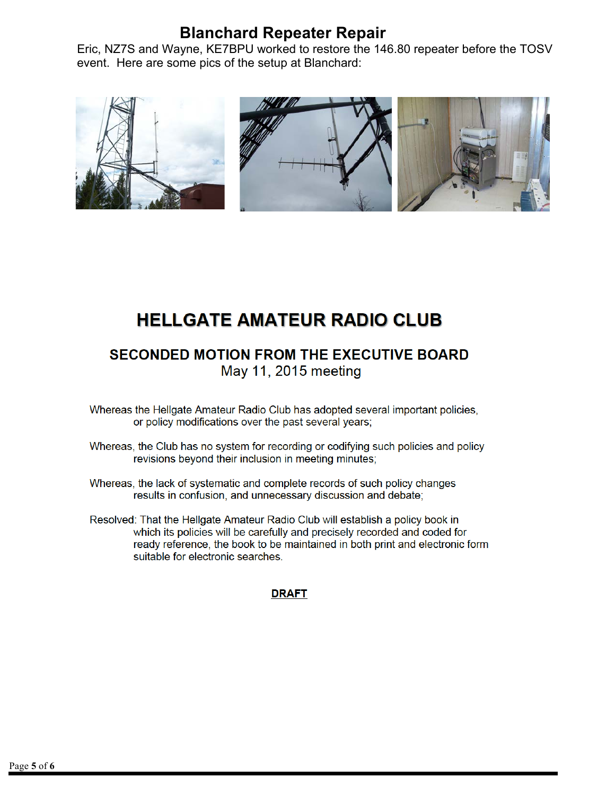## **Blanchard Repeater Repair**

Eric, NZ7S and Wayne, KE7BPU worked to restore the 146.80 repeater before the TOSV event. Here are some pics of the setup at Blanchard:



# **HELLGATE AMATEUR RADIO CLUB**

**SECONDED MOTION FROM THE EXECUTIVE BOARD** May 11, 2015 meeting

- Whereas the Hellgate Amateur Radio Club has adopted several important policies, or policy modifications over the past several years;
- Whereas, the Club has no system for recording or codifying such policies and policy revisions beyond their inclusion in meeting minutes;
- Whereas, the lack of systematic and complete records of such policy changes results in confusion, and unnecessary discussion and debate;
- Resolved: That the Hellgate Amateur Radio Club will establish a policy book in which its policies will be carefully and precisely recorded and coded for ready reference, the book to be maintained in both print and electronic form suitable for electronic searches.

#### **DRAFT**